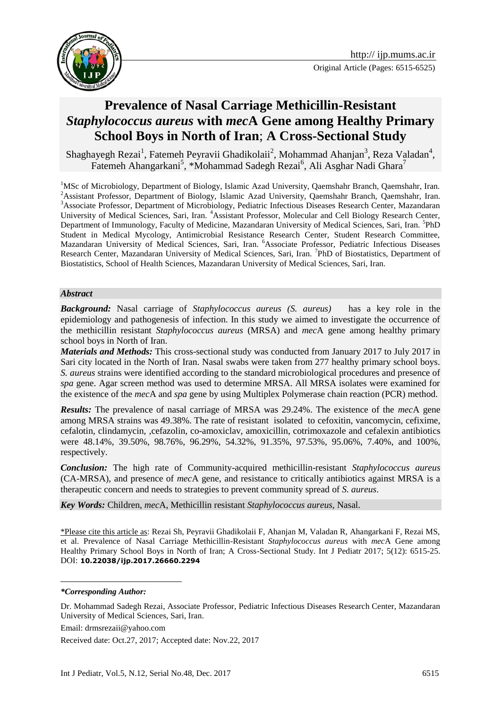

# **Prevalence of Nasal Carriage Methicillin-Resistant**  *Staphylococcus aureus* **with** *mec***A Gene among Healthy Primary School Boys in North of Iran**; **A Cross-Sectional Study**

Shaghayegh Rezai<sup>1</sup>, Fatemeh Peyravii Ghadikolaii<sup>2</sup>, Mohammad Ahanjan<sup>3</sup>, Reza Valadan<sup>4</sup>, Fatemeh Ahangarkani<sup>5</sup>, \*Mohammad Sadegh Rezai<sup>6</sup>, Ali Asghar Nadi Ghara<sup>7</sup>

<sup>1</sup>MSc of Microbiology, Department of Biology, Islamic Azad University, Qaemshahr Branch, Qaemshahr, Iran. <sup>2</sup>Assistant Professor, Department of Biology, Islamic Azad University, Qaemshahr Branch, Qaemshahr, Iran. <sup>3</sup>Associate Professor, Department of Microbiology, Pediatric Infectious Diseases Research Center, Mazandaran University of Medical Sciences, Sari, Iran. <sup>4</sup>Assistant Professor, Molecular and Cell Biology Research Center, Department of Immunology, Faculty of Medicine, Mazandaran University of Medical Sciences, Sari, Iran. <sup>5</sup>PhD Student in Medical Mycology, Antimicrobial Resistance Research Center, Student Research Committee, Mazandaran University of Medical Sciences, Sari, Iran. <sup>6</sup>Associate Professor, Pediatric Infectious Diseases Research Center, Mazandaran University of Medical Sciences, Sari, Iran. <sup>7</sup>PhD of Biostatistics, Department of Biostatistics, School of Health Sciences, Mazandaran University of Medical Sciences, Sari, Iran.

#### *Abstract*

*Background:* Nasal carriage of *Staphylococcus aureus (S. aureus)* has a key role in the epidemiology and pathogenesis of infection. In this study we aimed to investigate the occurrence of the methicillin resistant *Staphylococcus aureus* (MRSA) and *mec*A gene among healthy primary school boys in North of Iran.

*Materials and Methods:* This cross-sectional study was conducted from January 2017 to July 2017 in Sari city located in the North of Iran. Nasal swabs were taken from 277 healthy primary school boys. *S. aureus* strains were identified according to the standard microbiological procedures and presence of *spa* gene. Agar screen method was used to determine MRSA. All MRSA isolates were examined for the existence of the *mec*A and *spa* gene by using Multiplex Polymerase chain reaction (PCR) method.

*Results:* The prevalence of nasal carriage of MRSA was 29.24%. The existence of the *mec*A gene among MRSA strains was 49.38%. The rate of resistant isolated to cefoxitin, vancomycin, cefixime, cefalotin, clindamycin, ,cefazolin, co-amoxiclav, amoxicillin, cotrimoxazole and cefalexin antibiotics were 48.14%, 39.50%, 98.76%, 96.29%, 54.32%, 91.35%, 97.53%, 95.06%, 7.40%, and 100%, respectively.

*Conclusion:* The high rate of Community-acquired methicillin-resistant *Staphylococcus aureus* (CA-MRSA), and presence of *mec*A gene, and resistance to critically antibiotics against MRSA is a therapeutic concern and needs to strategies to prevent community spread of *S. aureus*.

*Key Words:* Children, *mec*A, Methicillin resistant *Staphylococcus aureus*, Nasal.

\*Please cite this article as: Rezai Sh, Peyravii Ghadikolaii F, Ahanjan M, Valadan R, Ahangarkani F, Rezai MS, et al. Prevalence of Nasal Carriage Methicillin-Resistant *Staphylococcus aureus* with *mec*A Gene among Healthy Primary School Boys in North of Iran; A Cross-Sectional Study. Int J Pediatr 2017; 5(12): 6515-25. DOI: **10.22038/ijp.2017.26660.2294**

<u>.</u>

Email: drmsrezaii@yahoo.com

Received date: Oct.27, 2017; Accepted date: Nov.22, 2017

*<sup>\*</sup>Corresponding Author:*

Dr. Mohammad Sadegh Rezai, Associate Professor, Pediatric Infectious Diseases Research Center, Mazandaran University of Medical Sciences, Sari, Iran.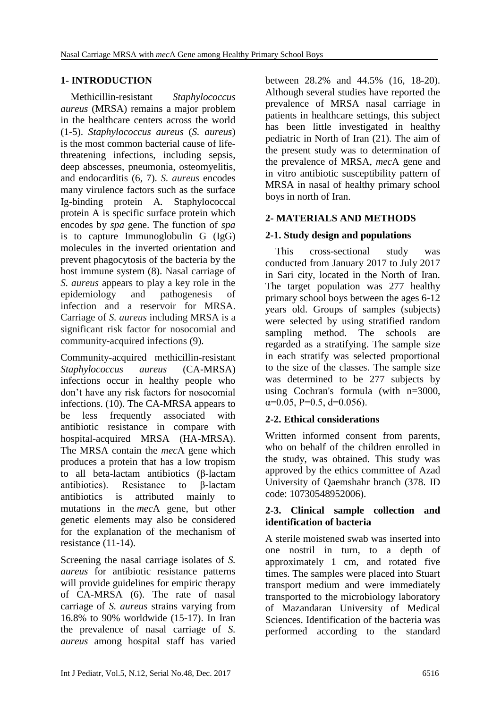# **1- INTRODUCTION**

 Methicillin-resistant *Staphylococcus aureus* (MRSA) remains a major problem in the healthcare centers across the world (1-5). *Staphylococcus aureus* (*S. aureus*) is the most common bacterial cause of lifethreatening infections, including sepsis, deep abscesses, pneumonia, osteomyelitis, and endocarditis (6, 7). *S. aureus* encodes many virulence factors such as the surface Ig*-*binding protein A*.* Staphylococcal protein A is specific surface protein which encodes by *spa* gene. The function of *spa* is to capture Immunoglobulin G (IgG) molecules in the inverted orientation and prevent phagocytosis of the bacteria by the host immune system (8). Nasal carriage of *S. aureus* appears to play a key role in the epidemiology and pathogenesis of infection and a reservoir for MRSA. Carriage of *S. aureus* including MRSA is a significant risk factor for nosocomial and community-acquired infections (9).

Community-acquired methicillin-resistant *Staphylococcus aureus* (CA-MRSA) infections occur in healthy people who don't have any risk factors for nosocomial infections. (10). The CA-MRSA appears to be less frequently associated with antibiotic resistance in compare with hospital-acquired MRSA (HA-MRSA). The MRSA contain the *mec*A gene which produces a protein that has a low tropism to all beta-lactam antibiotics (β-lactam antibiotics). Resistance to β-lactam antibiotics is attributed mainly to mutations in the *mec*A gene, but other genetic elements may also be considered for the explanation of the mechanism of resistance (11-14).

Screening the nasal carriage isolates of *S. aureus* for antibiotic resistance patterns will provide guidelines for empiric therapy of CA-MRSA (6). The rate of nasal carriage of *S. aureus* strains varying from 16.8% to 90% worldwide (15-17). In Iran the prevalence of nasal carriage of *S. aureus* among hospital staff has varied

between 28.2% and 44.5% (16, 18-20). Although several studies have reported the prevalence of MRSA nasal carriage in patients in healthcare settings, this subject has been little investigated in healthy pediatric in North of Iran (21). The aim of the present study was to determination of the prevalence of MRSA, *mec*A gene and in vitro antibiotic susceptibility pattern of MRSA in nasal of healthy primary school boys in north of Iran.

# **2- MATERIALS AND METHODS**

# **2-1. Study design and populations**

 This cross-sectional study was conducted from January 2017 to July 2017 in Sari city, located in the North of Iran. The target population was 277 healthy primary school boys between the ages 6-12 years old. Groups of samples (subjects) were selected by using stratified random sampling method. The schools are regarded as a stratifying. The sample size in each stratify was selected proportional to the size of the classes. The sample size was determined to be 277 subjects by using Cochran's formula (with n=3000,  $\alpha$ =0.05, P=0.5, d=0.056).

# **2-2. Ethical considerations**

Written informed consent from parents, who on behalf of the children enrolled in the study, was obtained. This study was approved by the ethics committee of Azad University of Qaemshahr branch (378. ID code: 10730548952006).

## **2-3. Clinical sample collection and identification of bacteria**

A sterile moistened swab was inserted into one nostril in turn, to a depth of approximately 1 cm, and rotated five times. The samples were placed into Stuart transport medium and were immediately transported to the microbiology laboratory of Mazandaran University of Medical Sciences. Identification of the bacteria was performed according to the standard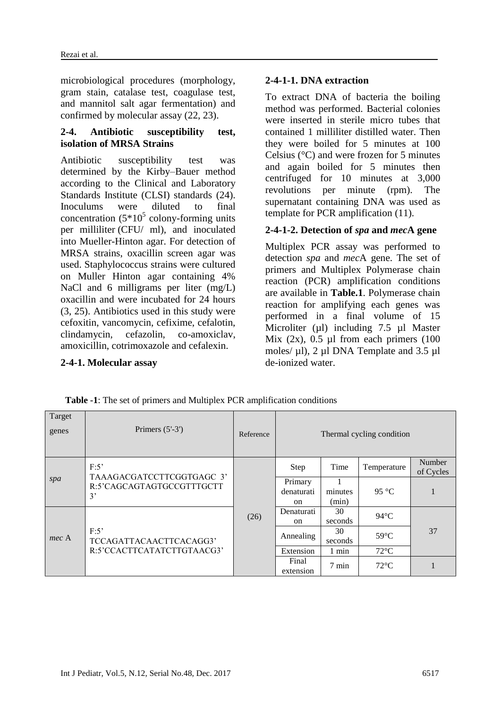microbiological procedures (morphology, gram stain, catalase test, coagulase test, and mannitol salt agar fermentation) and confirmed by molecular assay (22, 23).

#### **2-4. Antibiotic susceptibility test, isolation of MRSA Strains**

Antibiotic susceptibility test was determined by the Kirby–Bauer method according to the Clinical and Laboratory Standards Institute (CLSI) standards (24). Inoculums were diluted to final concentration  $(5*10^5 \text{ colony-forming units})$ per milliliter (CFU/ ml), and inoculated into Mueller-Hinton agar. For detection of MRSA strains, oxacillin screen agar was used. Staphylococcus strains were cultured on Muller Hinton agar containing 4% NaCl and 6 milligrams per liter (mg/L) oxacillin and were incubated for 24 hours (3, 25). Antibiotics used in this study were cefoxitin, vancomycin, cefixime, cefalotin, clindamycin, cefazolin, co-amoxiclav, amoxicillin, cotrimoxazole and cefalexin.

#### **2-4-1. Molecular assay**

#### **2-4-1-1. DNA extraction**

To extract DNA of bacteria the boiling method was performed. Bacterial colonies were inserted in sterile micro tubes that contained 1 milliliter distilled water. Then they were boiled for 5 minutes at 100 Celsius (°C) and were frozen for 5 minutes and again boiled for 5 minutes then centrifuged for 10 minutes at 3,000 revolutions per minute (rpm). The supernatant containing DNA was used as template for PCR amplification (11).

## **2-4-1-2. Detection of** *spa* **and** *mec***A gene**

Multiplex PCR assay was performed to detection *spa* and *mec*A gene. The set of primers and Multiplex Polymerase chain reaction (PCR) amplification conditions are available in **Table.1**. Polymerase chain reaction for amplifying each genes was performed in a final volume of 15 Microliter (µl) including 7.5 µl Master Mix  $(2x)$ , 0.5 µl from each primers  $(100)$ moles/  $\mu$ l), 2  $\mu$ l DNA Template and 3.5  $\mu$ l de-ionized water.

| Target<br>genes | Primers $(5'-3')$                                                    | Reference | Thermal cycling condition   |                  |                |                     |  |
|-----------------|----------------------------------------------------------------------|-----------|-----------------------------|------------------|----------------|---------------------|--|
| spa             | F:5'<br>TAAAGACGATCCTTCGGTGAGC 3'<br>R:5'CAGCAGTAGTGCCGTTTGCTT<br>3' | (26)      | <b>Step</b>                 | Time             | Temperature    | Number<br>of Cycles |  |
|                 |                                                                      |           | Primary<br>denaturati<br>on | minutes<br>(min) | 95 °C          |                     |  |
| mec A           | F:5'<br>TCCAGATTACAACTTCACAGG3'<br>R:5'CCACTTCATATCTTGTAACG3'        |           | Denaturati<br><sub>on</sub> | 30<br>seconds    | $94^{\circ}$ C |                     |  |
|                 |                                                                      |           | Annealing                   | 30<br>seconds    | $59^{\circ}$ C | 37                  |  |
|                 |                                                                      |           | Extension                   | 1 min            | $72^{\circ}$ C |                     |  |
|                 |                                                                      |           | Final<br>extension          | $7 \text{ min}$  | $72^{\circ}$ C |                     |  |

 **Table -1**: The set of primers and Multiplex PCR amplification conditions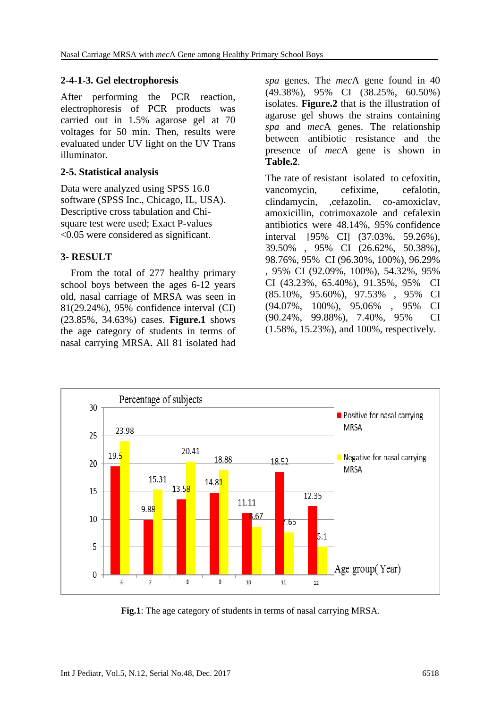## **2-4-1-3. Gel electrophoresis**

After performing the PCR reaction, electrophoresis of PCR products was carried out in 1.5% agarose gel at 70 voltages for 50 min. Then, results were evaluated under UV light on the UV Trans illuminator.

## **2-5. Statistical analysis**

Data were analyzed using SPSS 16.0 software (SPSS Inc., Chicago, IL, USA). Descriptive cross tabulation and Chisquare test were used; Exact P-values <0.05 were considered as significant.

## **3- RESULT**

 From the total of 277 healthy primary school boys between the ages 6-12 years old, nasal carriage of MRSA was seen in 81(29.24%), 95% confidence interval (CI) (23.85%, 34.63%) cases. **Figure.1** shows the age category of students in terms of nasal carrying MRSA. All 81 isolated had *spa* genes. The *mec*A gene found in 40 (49.38%), 95% CI (38.25%, 60.50%) isolates. **Figure.2** that is the illustration of agarose gel shows the strains containing *spa* and *mec*A genes. The relationship between antibiotic resistance and the presence of *mec*A gene is shown in **Table.2**.

The rate of resistant isolated to cefoxitin, vancomycin, cefixime, cefalotin, clindamycin, ,cefazolin, co-amoxiclav, amoxicillin, cotrimoxazole and cefalexin antibiotics were 48.14%, 95% confidence interval [95% CI] (37.03%, 59.26%), 39.50% , 95% CI (26.62%, 50.38%), 98.76%, 95% CI (96.30%, 100%), 96.29% , 95% CI (92.09%, 100%), 54.32%, 95% CI (43.23%, 65.40%), 91.35%, 95% CI (85.10%, 95.60%), 97.53% , 95% CI (94.07%, 100%), 95.06% , 95% CI (90.24%, 99.88%), 7.40%, 95% CI (1.58%, 15.23%), and 100%, respectively.



**Fig.1**: The age category of students in terms of nasal carrying MRSA.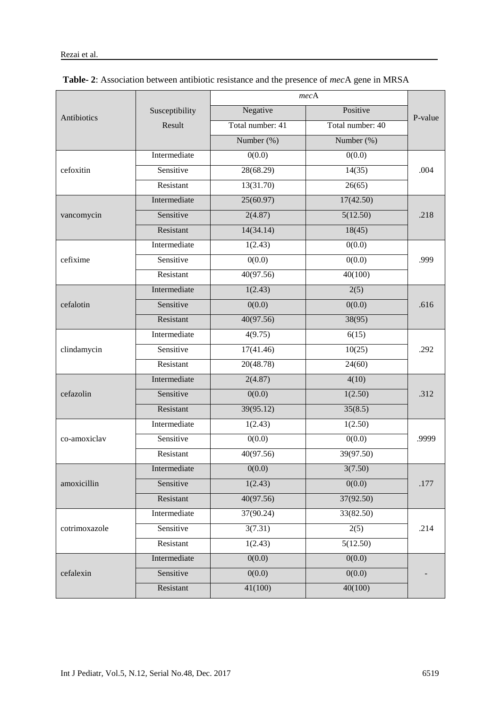|               |                | mecA             |                  |         |  |
|---------------|----------------|------------------|------------------|---------|--|
| Antibiotics   | Susceptibility | Negative         | Positive         | P-value |  |
|               | Result         | Total number: 41 | Total number: 40 |         |  |
|               |                | Number (%)       | Number (%)       |         |  |
|               | Intermediate   | 0(0.0)           | 0(0.0)           | .004    |  |
| cefoxitin     | Sensitive      | 28(68.29)        | 14(35)           |         |  |
|               | Resistant      | 13(31.70)        | 26(65)           |         |  |
|               | Intermediate   | 25(60.97)        | 17(42.50)        | .218    |  |
| vancomycin    | Sensitive      | 2(4.87)          | 5(12.50)         |         |  |
|               | Resistant      | 14(34.14)        | 18(45)           |         |  |
|               | Intermediate   | 1(2.43)          | 0(0.0)           | .999    |  |
| cefixime      | Sensitive      | 0(0.0)           | 0(0.0)           |         |  |
|               | Resistant      | 40(97.56)        | 40(100)          |         |  |
|               | Intermediate   | 1(2.43)          | 2(5)             | .616    |  |
| cefalotin     | Sensitive      | 0(0.0)           | 0(0.0)           |         |  |
|               | Resistant      | 40(97.56)        | 38(95)           |         |  |
|               | Intermediate   | 4(9.75)          | 6(15)            | .292    |  |
| clindamycin   | Sensitive      | 17(41.46)        | 10(25)           |         |  |
|               | Resistant      | 20(48.78)        | 24(60)           |         |  |
|               | Intermediate   | 2(4.87)          | 4(10)            | .312    |  |
| cefazolin     | Sensitive      | 0(0.0)           | 1(2.50)          |         |  |
|               | Resistant      | 39(95.12)        | 35(8.5)          |         |  |
|               | Intermediate   | 1(2.43)          | 1(2.50)          | .9999   |  |
| co-amoxiclav  | Sensitive      | 0(0.0)           | 0(0.0)           |         |  |
|               | Resistant      | 40(97.56)        | 39(97.50)        |         |  |
|               | Intermediate   | 0(0.0)           | 3(7.50)          | .177    |  |
| amoxicillin   | Sensitive      | 1(2.43)          | 0(0.0)           |         |  |
|               | Resistant      | 40(97.56)        | 37(92.50)        |         |  |
|               | Intermediate   | 37(90.24)        | 33(82.50)        | .214    |  |
| cotrimoxazole | Sensitive      | 3(7.31)          | 2(5)             |         |  |
|               | Resistant      | 1(2.43)          | 5(12.50)         |         |  |
|               | Intermediate   | 0(0.0)           | 0(0.0)           |         |  |
| cefalexin     | Sensitive      | 0(0.0)           | 0(0.0)           |         |  |
|               | Resistant      | 41(100)          | 40(100)          |         |  |

| Table- 2: Association between antibiotic resistance and the presence of mecA gene in MRSA |  |  |
|-------------------------------------------------------------------------------------------|--|--|
|-------------------------------------------------------------------------------------------|--|--|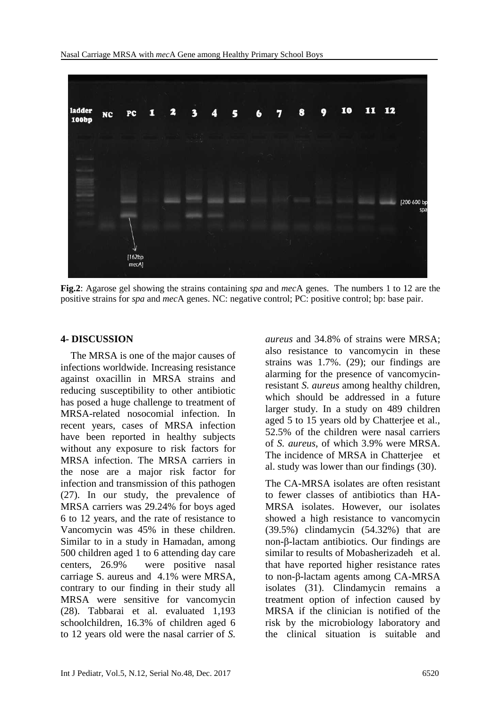

**Fig.2**: Agarose gel showing the strains containing *spa* and *mec*A genes. The numbers 1 to 12 are the positive strains for *spa* and *mec*A genes. NC: negative control; PC: positive control; bp: base pair.

#### **4- DISCUSSION**

 The MRSA is one of the major causes of infections worldwide. Increasing resistance against oxacillin in MRSA strains and reducing susceptibility to other antibiotic has posed a huge challenge to treatment of MRSA-related nosocomial infection. In recent years, cases of MRSA infection have been reported in healthy subjects without any exposure to risk factors for MRSA infection. The MRSA carriers in the nose are a major risk factor for infection and transmission of this pathogen (27). In our study, the prevalence of MRSA carriers was 29.24% for boys aged 6 to 12 years, and the rate of resistance to Vancomycin was 45% in these children. Similar to in a study in Hamadan, among 500 children aged 1 to 6 attending day care centers, 26.9% were positive nasal carriage S. aureus and 4.1% were MRSA, contrary to our finding in their study all MRSA were sensitive for vancomycin (28). Tabbarai et al. evaluated 1,193 schoolchildren, 16.3% of children aged 6 to 12 years old were the nasal carrier of *S.* 

*aureus* and 34.8% of strains were MRSA; also resistance to vancomycin in these strains was 1.7%. (29); our findings are alarming for the presence of vancomycinresistant *S. aureus* among healthy children, which should be addressed in a future larger study. In a study on 489 children aged 5 to 15 years old by Chatterjee et al., 52.5% of the children were nasal carriers of *S. aureus*, of which 3.9% were MRSA. The incidence of MRSA in Chatterjee et al. study was lower than our findings (30).

The CA-MRSA isolates are often resistant to fewer classes of antibiotics than HA-MRSA isolates. However, our isolates showed a high resistance to vancomycin (39.5%) clindamycin (54.32%) that are non-β-lactam antibiotics. Our findings are similar to results of Mobasherizadeh et al. that have reported higher resistance rates to non-β-lactam agents among CA-MRSA isolates (31). Clindamycin remains a treatment option of infection caused by MRSA if the clinician is notified of the risk by the microbiology laboratory and the clinical situation is suitable and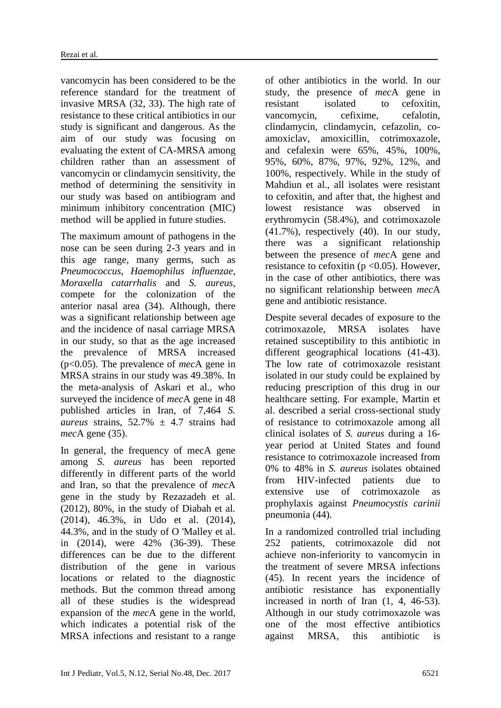vancomycin has been considered to be the reference standard for the treatment of invasive MRSA (32, 33). The high rate of resistance to these critical antibiotics in our study is significant and dangerous. As the aim of our study was focusing on evaluating the extent of CA-MRSA among children rather than an assessment of vancomycin or clindamycin sensitivity, the method of determining the sensitivity in our study was based on antibiogram and minimum inhibitory concentration (MIC) method will be applied in future studies.

The maximum amount of pathogens in the nose can be seen during 2-3 years and in this age range, many germs, such as *Pneumococcus*, *Haemophilus influenzae*, *Moraxella catarrhalis* and *S. aureus*, compete for the colonization of the anterior nasal area (34). Although, there was a significant relationship between age and the incidence of nasal carriage MRSA in our study, so that as the age increased the prevalence of MRSA increased (p<0.05). The prevalence of *mec*A gene in MRSA strains in our study was 49.38%. In the meta-analysis of Askari et al., who surveyed the incidence of *mec*A gene in 48 published articles in Iran, of 7,464 *S. aureus* strains,  $52.7\% \pm 4.7$  strains had *mec*A gene (35).

In general, the frequency of mecA gene among *S. aureus* has been reported differently in different parts of the world and Iran, so that the prevalence of *mec*A gene in the study by Rezazadeh et al. (2012), 80%, in the study of Diabah et al. (2014), 46.3%, in Udo et al. (2014), 44.3%, and in the study of O 'Malley et al. in (2014), were 42% (36-39). These differences can be due to the different distribution of the gene in various locations or related to the diagnostic methods. But the common thread among all of these studies is the widespread expansion of the *mec*A gene in the world, which indicates a potential risk of the MRSA infections and resistant to a range of other antibiotics in the world. In our study, the presence of *mec*A gene in resistant isolated to cefoxitin, vancomycin, cefixime, cefalotin, clindamycin, clindamycin, cefazolin, coamoxiclav, amoxicillin, cotrimoxazole, and cefalexin were 65%, 45%, 100%, 95%, 60%, 87%, 97%, 92%, 12%, and 100%, respectively. While in the study of Mahdiun et al., all isolates were resistant to cefoxitin, and after that, the highest and lowest resistance was observed in erythromycin (58.4%), and cotrimoxazole (41.7%), respectively (40). In our study, there was a significant relationship between the presence of *mec*A gene and resistance to cefoxitin ( $p \le 0.05$ ). However, in the case of other antibiotics, there was no significant relationship between *mec*A gene and antibiotic resistance.

Despite several decades of exposure to the cotrimoxazole, MRSA isolates have retained susceptibility to this antibiotic in different geographical locations (41-43). The low rate of cotrimoxazole resistant isolated in our study could be explained by reducing prescription of this drug in our healthcare setting. For example, Martin et al. described a serial cross-sectional study of resistance to cotrimoxazole among all clinical isolates of *S. aureus* during a 16 year period at United States and found resistance to cotrimoxazole increased from 0% to 48% in *S. aureus* isolates obtained from HIV-infected patients due to extensive use of cotrimoxazole as prophylaxis against *Pneumocystis carinii* pneumonia (44).

In a randomized controlled trial including 252 patients, cotrimoxazole did not achieve non-inferiority to vancomycin in the treatment of severe MRSA infections (45). In recent years the incidence of antibiotic resistance has exponentially increased in north of Iran (1, 4, 46-53). Although in our study cotrimoxazole was one of the most effective antibiotics against MRSA, this antibiotic is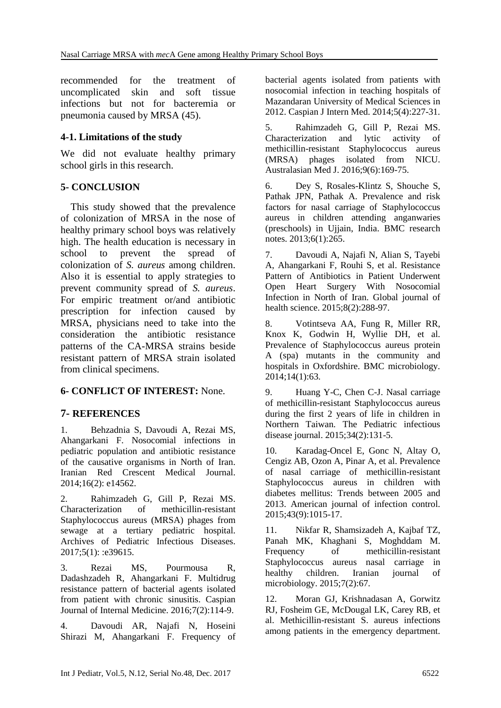recommended for the treatment of uncomplicated skin and soft tissue infections but not for bacteremia or pneumonia caused by MRSA (45).

## **4-1. Limitations of the study**

We did not evaluate healthy primary school girls in this research.

## **5- CONCLUSION**

 This study showed that the prevalence of colonization of MRSA in the nose of healthy primary school boys was relatively high. The health education is necessary in school to prevent the spread of colonization of *S. aureus* among children. Also it is essential to apply strategies to prevent community spread of *S. aureus*. For empiric treatment or/and antibiotic prescription for infection caused by MRSA, physicians need to take into the consideration the antibiotic resistance patterns of the CA-MRSA strains beside resistant pattern of MRSA strain isolated from clinical specimens.

## **6- CONFLICT OF INTEREST:** None.

# **7- REFERENCES**

1. Behzadnia S, Davoudi A, Rezai MS, Ahangarkani F. Nosocomial infections in pediatric population and antibiotic resistance of the causative organisms in North of Iran. Iranian Red Crescent Medical Journal. 2014;16(2): e14562.

2. Rahimzadeh G, Gill P, Rezai MS. Characterization of methicillin-resistant Staphylococcus aureus (MRSA) phages from sewage at a tertiary pediatric hospital. Archives of Pediatric Infectious Diseases. 2017;5(1): :e39615.

3. Rezai MS, Pourmousa R, Dadashzadeh R, Ahangarkani F. Multidrug resistance pattern of bacterial agents isolated from patient with chronic sinusitis. Caspian Journal of Internal Medicine. 2016;7(2):114-9.

4. Davoudi AR, Najafi N, Hoseini Shirazi M, Ahangarkani F. Frequency of bacterial agents isolated from patients with nosocomial infection in teaching hospitals of Mazandaran University of Medical Sciences in 2012. Caspian J Intern Med. 2014;5(4):227-31.

5. Rahimzadeh G, Gill P, Rezai MS. Characterization and lytic activity of methicillin-resistant Staphylococcus aureus (MRSA) phages isolated from NICU. Australasian Med J. 2016;9(6):169-75.

6. Dey S, Rosales-Klintz S, Shouche S, Pathak JPN, Pathak A. Prevalence and risk factors for nasal carriage of Staphylococcus aureus in children attending anganwaries (preschools) in Ujjain, India. BMC research notes. 2013;6(1):265.

7. Davoudi A, Najafi N, Alian S, Tayebi A, Ahangarkani F, Rouhi S, et al. Resistance Pattern of Antibiotics in Patient Underwent Open Heart Surgery With Nosocomial Infection in North of Iran. Global journal of health science. 2015;8(2):288-97.

8. Votintseva AA, Fung R, Miller RR, Knox K, Godwin H, Wyllie DH, et al. Prevalence of Staphylococcus aureus protein A (spa) mutants in the community and hospitals in Oxfordshire. BMC microbiology. 2014;14(1):63.

9. Huang Y-C, Chen C-J. Nasal carriage of methicillin-resistant Staphylococcus aureus during the first 2 years of life in children in Northern Taiwan. The Pediatric infectious disease journal. 2015;34(2):131-5.

10. Karadag-Oncel E, Gonc N, Altay O, Cengiz AB, Ozon A, Pinar A, et al. Prevalence of nasal carriage of methicillin-resistant Staphylococcus aureus in children with diabetes mellitus: Trends between 2005 and 2013. American journal of infection control. 2015;43(9):1015-17.

11. Nikfar R, Shamsizadeh A, Kajbaf TZ, Panah MK, Khaghani S, Moghddam M. Frequency of methicillin-resistant Staphylococcus aureus nasal carriage in healthy children. Iranian journal of microbiology. 2015;7(2):67.

12. Moran GJ, Krishnadasan A, Gorwitz RJ, Fosheim GE, McDougal LK, Carey RB, et al. Methicillin-resistant S. aureus infections among patients in the emergency department.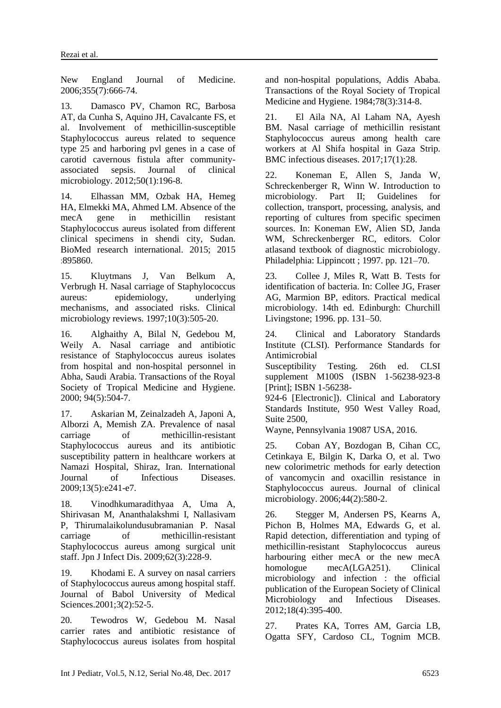New England Journal of Medicine. 2006;355(7):666-74.

13. Damasco PV, Chamon RC, Barbosa AT, da Cunha S, Aquino JH, Cavalcante FS, et al. Involvement of methicillin-susceptible Staphylococcus aureus related to sequence type 25 and harboring pvl genes in a case of carotid cavernous fistula after communityassociated sepsis. Journal of clinical microbiology. 2012;50(1):196-8.

14. Elhassan MM, Ozbak HA, Hemeg HA, Elmekki MA, Ahmed LM. Absence of the mecA gene in methicillin resistant Staphylococcus aureus isolated from different clinical specimens in shendi city, Sudan. BioMed research international. 2015; 2015 :895860.

15. Kluytmans J, Van Belkum A, Verbrugh H. Nasal carriage of Staphylococcus aureus: epidemiology, underlying mechanisms, and associated risks. Clinical microbiology reviews. 1997;10(3):505-20.

16. Alghaithy A, Bilal N, Gedebou M, Weily A. Nasal carriage and antibiotic resistance of Staphylococcus aureus isolates from hospital and non-hospital personnel in Abha, Saudi Arabia. Transactions of the Royal Society of Tropical Medicine and Hygiene. 2000; 94(5):504-7.

17. Askarian M, Zeinalzadeh A, Japoni A, Alborzi A, Memish ZA. Prevalence of nasal carriage of methicillin-resistant Staphylococcus aureus and its antibiotic susceptibility pattern in healthcare workers at Namazi Hospital, Shiraz, Iran. International Journal of Infectious Diseases. 2009;13(5):e241-e7.

18. Vinodhkumaradithyaa A, Uma A, Shirivasan M, Ananthalakshmi I, Nallasivam P, Thirumalaikolundusubramanian P. Nasal carriage of methicillin-resistant Staphylococcus aureus among surgical unit staff. Jpn J Infect Dis. 2009;62(3):228-9.

19. Khodami E. A survey on nasal carriers of Staphylococcus aureus among hospital staff. [Journal of Babol University of Medical](http://en.journals.sid.ir/JournalList.aspx?ID=3710)  [Sciences.2](http://en.journals.sid.ir/JournalList.aspx?ID=3710)001;3(2):52-5.

20. Tewodros W, Gedebou M. Nasal carrier rates and antibiotic resistance of Staphylococcus aureus isolates from hospital and non-hospital populations, Addis Ababa. Transactions of the Royal Society of Tropical Medicine and Hygiene. 1984;78(3):314-8.

21. El Aila NA, Al Laham NA, Ayesh BM. Nasal carriage of methicillin resistant Staphylococcus aureus among health care workers at Al Shifa hospital in Gaza Strip. BMC infectious diseases. 2017;17(1):28.

22. Koneman E, Allen S, Janda W, Schreckenberger R, Winn W. Introduction to microbiology. Part II; Guidelines for collection, transport, processing, analysis, and reporting of cultures from specific specimen sources. In: Koneman EW, Alien SD, Janda WM, Schreckenberger RC, editors. Color atlasand textbook of diagnostic microbiology. Philadelphia: Lippincott ; 1997. pp. 121–70.

23. Collee J, Miles R, Watt B. Tests for identification of bacteria. In: Collee JG, Fraser AG, Marmion BP, editors. Practical medical microbiology. 14th ed. Edinburgh: Churchill Livingstone; 1996. pp. 131–50.

24. Clinical and Laboratory Standards Institute (CLSI). Performance Standards for Antimicrobial

Susceptibility Testing. 26th ed. CLSI supplement M100S (ISBN 1-56238-923-8 [Print]; ISBN 1-56238-

924-6 [Electronic]). Clinical and Laboratory Standards Institute, 950 West Valley Road, Suite 2500,

Wayne, Pennsylvania 19087 USA, 2016.

25. Coban AY, Bozdogan B, Cihan CC, Cetinkaya E, Bilgin K, Darka O, et al. Two new colorimetric methods for early detection of vancomycin and oxacillin resistance in Staphylococcus aureus. Journal of clinical microbiology. 2006;44(2):580-2.

26. Stegger M, Andersen PS, Kearns A, Pichon B, Holmes MA, Edwards G, et al. Rapid detection, differentiation and typing of methicillin-resistant Staphylococcus aureus harbouring either mecA or the new mecA homologue mecA(LGA251). Clinical microbiology and infection : the official publication of the European Society of Clinical Microbiology and Infectious Diseases. 2012;18(4):395-400.

27. Prates KA, Torres AM, Garcia LB, Ogatta SFY, Cardoso CL, Tognim MCB.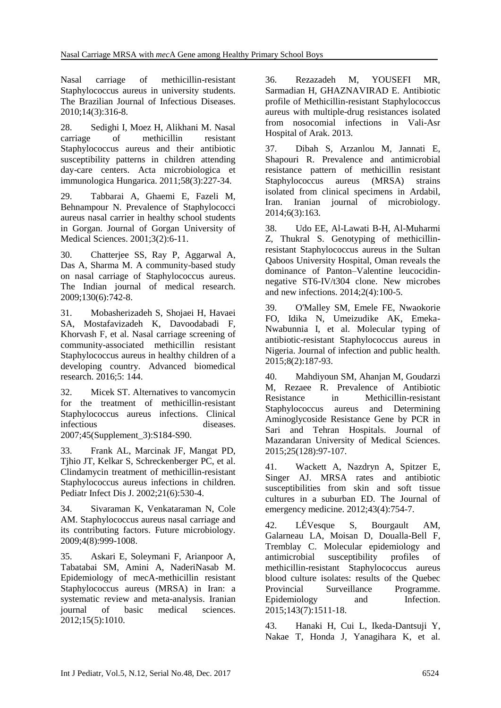Nasal carriage of methicillin-resistant Staphylococcus aureus in university students. The Brazilian Journal of Infectious Diseases. 2010;14(3):316-8.

28. Sedighi I, Moez H, Alikhani M. Nasal carriage of methicillin resistant Staphylococcus aureus and their antibiotic susceptibility patterns in children attending day-care centers. Acta microbiologica et immunologica Hungarica. 2011;58(3):227-34.

29. Tabbarai A, Ghaemi E, Fazeli M, Behnampour N. Prevalence of Staphylococci aureus nasal carrier in healthy school students in Gorgan. Journal of Gorgan University of Medical Sciences. 2001;3(2):6-11.

30. Chatterjee SS, Ray P, Aggarwal A, Das A, Sharma M. A community-based study on nasal carriage of Staphylococcus aureus. The Indian journal of medical research. 2009;130(6):742-8.

31. Mobasherizadeh S, Shojaei H, Havaei SA, Mostafavizadeh K, Davoodabadi F, Khorvash F, et al. Nasal carriage screening of community-associated methicillin resistant Staphylococcus aureus in healthy children of a developing country. Advanced biomedical research. 2016;5: 144.

32. Micek ST. Alternatives to vancomycin for the treatment of methicillin-resistant Staphylococcus aureus infections. Clinical infectious diseases.

2007;45(Supplement\_3):S184-S90.

33. Frank AL, Marcinak JF, Mangat PD, Tjhio JT, Kelkar S, Schreckenberger PC, et al. Clindamycin treatment of methicillin-resistant Staphylococcus aureus infections in children. Pediatr Infect Dis J. 2002;21(6):530-4.

34. Sivaraman K, Venkataraman N, Cole AM. Staphylococcus aureus nasal carriage and its contributing factors. Future microbiology. 2009;4(8):999-1008.

35. Askari E, Soleymani F, Arianpoor A, Tabatabai SM, Amini A, NaderiNasab M. Epidemiology of mecA-methicillin resistant Staphylococcus aureus (MRSA) in Iran: a systematic review and meta-analysis. Iranian journal of basic medical sciences. 2012;15(5):1010.

36. Rezazadeh M, YOUSEFI MR, Sarmadian H, GHAZNAVIRAD E. Antibiotic profile of Methicillin-resistant Staphylococcus aureus with multiple-drug resistances isolated from nosocomial infections in Vali-Asr Hospital of Arak. 2013.

37. Dibah S, Arzanlou M, Jannati E, Shapouri R. Prevalence and antimicrobial resistance pattern of methicillin resistant Staphylococcus aureus (MRSA) strains isolated from clinical specimens in Ardabil, Iran. Iranian journal of microbiology. 2014;6(3):163.

38. Udo EE, Al-Lawati B-H, Al-Muharmi Z, Thukral S. Genotyping of methicillinresistant Staphylococcus aureus in the Sultan Qaboos University Hospital, Oman reveals the dominance of Panton–Valentine leucocidinnegative ST6-IV/t304 clone. New microbes and new infections. 2014;2(4):100-5.

39. O'Malley SM, Emele FE, Nwaokorie FO, Idika N, Umeizudike AK, Emeka-Nwabunnia I, et al. Molecular typing of antibiotic-resistant Staphylococcus aureus in Nigeria. Journal of infection and public health. 2015;8(2):187-93.

40. Mahdiyoun SM, Ahanjan M, Goudarzi M, Rezaee R. Prevalence of Antibiotic Resistance in Methicillin-resistant Staphylococcus aureus and Determining Aminoglycoside Resistance Gene by PCR in Sari and Tehran Hospitals. Journal of Mazandaran University of Medical Sciences. 2015;25(128):97-107.

41. Wackett A, Nazdryn A, Spitzer E, Singer AJ. MRSA rates and antibiotic susceptibilities from skin and soft tissue cultures in a suburban ED. The Journal of emergency medicine. 2012;43(4):754-7.

42. LÉVesque S, Bourgault AM, Galarneau LA, Moisan D, Doualla-Bell F, Tremblay C. Molecular epidemiology and antimicrobial susceptibility profiles of methicillin-resistant Staphylococcus aureus blood culture isolates: results of the Quebec Provincial Surveillance Programme. Epidemiology and Infection. 2015;143(7):1511-18.

43. Hanaki H, Cui L, Ikeda-Dantsuji Y, Nakae T, Honda J, Yanagihara K, et al.